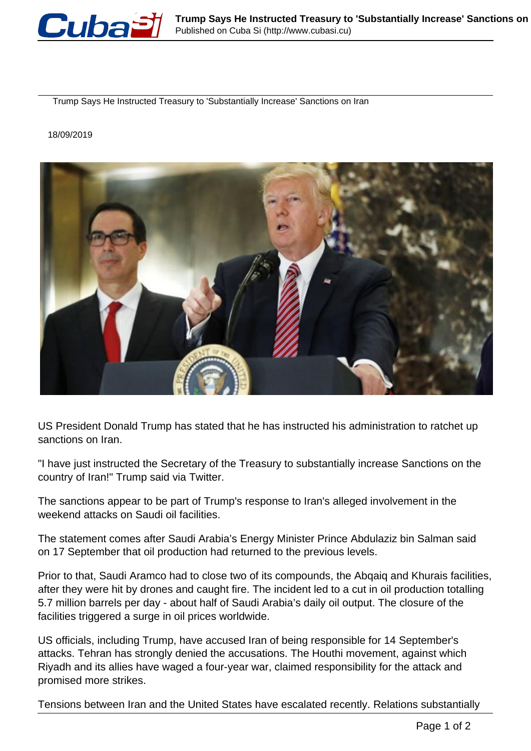

Trump Says He Instructed Treasury to 'Substantially Increase' Sanctions on Iran

## 18/09/2019



US President Donald Trump has stated that he has instructed his administration to ratchet up sanctions on Iran.

"I have just instructed the Secretary of the Treasury to substantially increase Sanctions on the country of Iran!" Trump said via Twitter.

The sanctions appear to be part of Trump's response to Iran's alleged involvement in the weekend attacks on Saudi oil facilities.

The statement comes after Saudi Arabia's Energy Minister Prince Abdulaziz bin Salman said on 17 September that oil production had returned to the previous levels.

Prior to that, Saudi Aramco had to close two of its compounds, the Abqaiq and Khurais facilities, after they were hit by drones and caught fire. The incident led to a cut in oil production totalling 5.7 million barrels per day - about half of Saudi Arabia's daily oil output. The closure of the facilities triggered a surge in oil prices worldwide.

US officials, including Trump, have accused Iran of being responsible for 14 September's attacks. Tehran has strongly denied the accusations. The Houthi movement, against which Riyadh and its allies have waged a four-year war, claimed responsibility for the attack and promised more strikes.

Tensions between Iran and the United States have escalated recently. Relations substantially